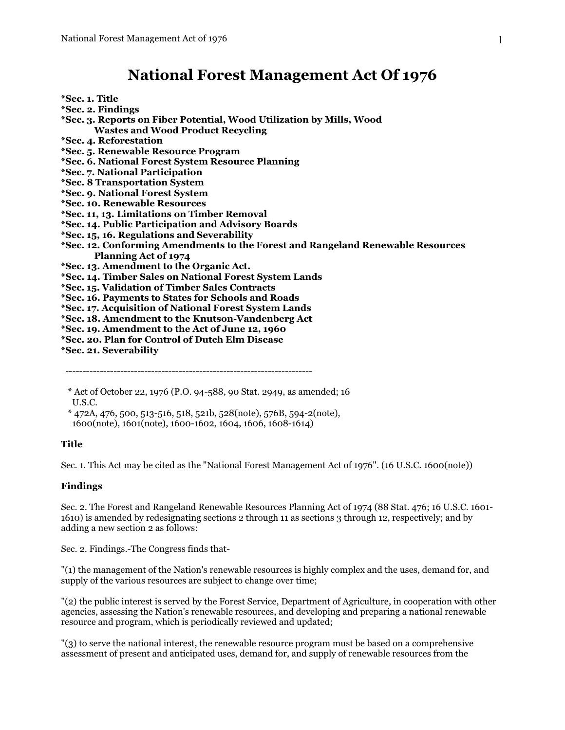# **National Forest Management Act Of 1976**

 **\*Sec. 12. Conforming Amendments to the Forest and Rangeland Renewable Resources Planning Act of 1974 \*Sec. 1. Title \*Sec. 2. Findings \*Sec. 3. Reports on Fiber Potential, Wood Utilization by Mills, Wood Wastes and Wood Product Recycling \*Sec. 4. Reforestation \*Sec. 5. Renewable Resource Program \*Sec. 6. National Forest System Resource Planning \*Sec. 7. National Participation \*Sec. 8 Transportation System \*Sec. 9. National Forest System \*Sec. 10. Renewable Resources \*Sec. 11, 13. Limitations on Timber Removal \*Sec. 14. Public Participation and Advisory Boards \*Sec. 15, 16. Regulations and Severability \*Sec. 13. Amendment to the Organic Act. \*Sec. 14. Timber Sales on National Forest System Lands \*Sec. 15. Validation of Timber Sales Contracts \*Sec. 16. Payments to States for Schools and Roads \*Sec. 17. Acquisition of National Forest System Lands \*Sec. 18. Amendment to the Knutson-Vandenberg Act \*Sec. 19. Amendment to the Act of June 12, 1960 \*Sec. 20. Plan for Control of Dutch Elm Disease \*Sec. 21. Severability** ------------------------------------------------------------------------

- \* Act of October 22, 1976 (P.O. 94-588, 90 Stat. 2949, as amended; 16 U.S.C.
- $*$  472A, 476, 500, 513-516, 518, 521b, 528(note), 576B, 594-2(note), 1600(note), 1601(note), 1600-1602, 1604, 1606, 1608-1614)

# **Title**

Sec. 1. This Act may be cited as the "National Forest Management Act of 1976". (16 U.S.C. 1600(note))

# **Findings**

Sec. 2. The Forest and Rangeland Renewable Resources Planning Act of 1974 (88 Stat. 476; 16 U.S.C. 1601- 1610) is amended by redesignating sections 2 through 11 as sections 3 through 12, respectively; and by adding a new section 2 as follows:

Sec. 2. Findings.-The Congress finds that-

"(1) the management of the Nation's renewable resources is highly complex and the uses, demand for, and supply of the various resources are subject to change over time;

"(2) the public interest is served by the Forest Service, Department of Agriculture, in cooperation with other agencies, assessing the Nation's renewable resources, and developing and preparing a national renewable resource and program, which is periodically reviewed and updated;

"(3) to serve the national interest, the renewable resource program must be based on a comprehensive assessment of present and anticipated uses, demand for, and supply of renewable resources from the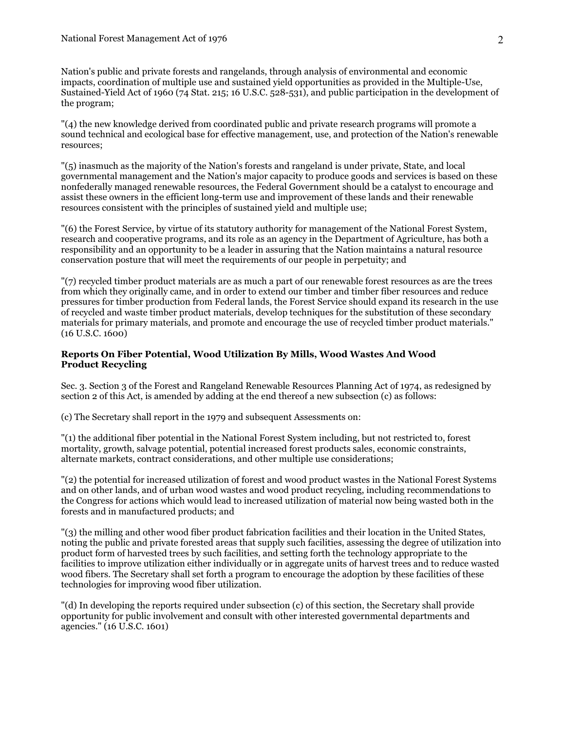Nation's public and private forests and rangelands, through analysis of environmental and economic impacts, coordination of multiple use and sustained yield opportunities as provided in the Multiple-Use, Sustained-Yield Act of 1960 (74 Stat. 215; 16 U.S.C. 528-531), and public participation in the development of the program;

"(4) the new knowledge derived from coordinated public and private research programs will promote a sound technical and ecological base for effective management, use, and protection of the Nation's renewable resources;

"(5) inasmuch as the majority of the Nation's forests and rangeland is under private, State, and local governmental management and the Nation's major capacity to produce goods and services is based on these nonfederally managed renewable resources, the Federal Government should be a catalyst to encourage and assist these owners in the efficient long-term use and improvement of these lands and their renewable resources consistent with the principles of sustained yield and multiple use;

"(6) the Forest Service, by virtue of its statutory authority for management of the National Forest System, research and cooperative programs, and its role as an agency in the Department of Agriculture, has both a responsibility and an opportunity to be a leader in assuring that the Nation maintains a natural resource conservation posture that will meet the requirements of our people in perpetuity; and

"(7) recycled timber product materials are as much a part of our renewable forest resources as are the trees from which they originally came, and in order to extend our timber and timber fiber resources and reduce pressures for timber production from Federal lands, the Forest Service should expand its research in the use of recycled and waste timber product materials, develop techniques for the substitution of these secondary materials for primary materials, and promote and encourage the use of recycled timber product materials." (16 U.S.C. 1600)

## **Reports On Fiber Potential, Wood Utilization By Mills, Wood Wastes And Wood Product Recycling**

Sec. 3. Section 3 of the Forest and Rangeland Renewable Resources Planning Act of 1974, as redesigned by section 2 of this Act, is amended by adding at the end thereof a new subsection (c) as follows:

(c) The Secretary shall report in the 1979 and subsequent Assessments on:

"(1) the additional fiber potential in the National Forest System including, but not restricted to, forest mortality, growth, salvage potential, potential increased forest products sales, economic constraints, alternate markets, contract considerations, and other multiple use considerations;

"(2) the potential for increased utilization of forest and wood product wastes in the National Forest Systems and on other lands, and of urban wood wastes and wood product recycling, including recommendations to the Congress for actions which would lead to increased utilization of material now being wasted both in the forests and in manufactured products; and

"(3) the milling and other wood fiber product fabrication facilities and their location in the United States, noting the public and private forested areas that supply such facilities, assessing the degree of utilization into product form of harvested trees by such facilities, and setting forth the technology appropriate to the facilities to improve utilization either individually or in aggregate units of harvest trees and to reduce wasted wood fibers. The Secretary shall set forth a program to encourage the adoption by these facilities of these technologies for improving wood fiber utilization.

"(d) In developing the reports required under subsection (c) of this section, the Secretary shall provide opportunity for public involvement and consult with other interested governmental departments and agencies." (16 U.S.C. 1601)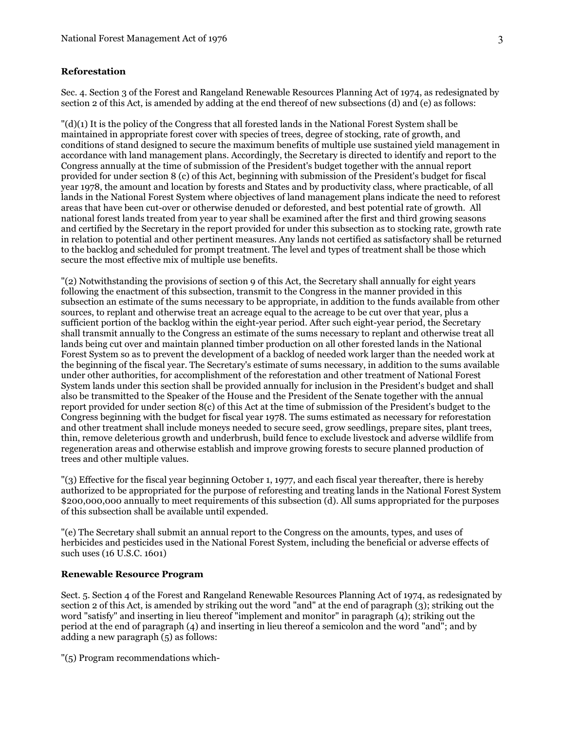## **Reforestation**

Sec. 4. Section 3 of the Forest and Rangeland Renewable Resources Planning Act of 1974, as redesignated by section 2 of this Act, is amended by adding at the end thereof of new subsections (d) and (e) as follows:

"(d)(1) It is the policy of the Congress that all forested lands in the National Forest System shall be maintained in appropriate forest cover with species of trees, degree of stocking, rate of growth, and conditions of stand designed to secure the maximum benefits of multiple use sustained yield management in accordance with land management plans. Accordingly, the Secretary is directed to identify and report to the Congress annually at the time of submission of the President's budget together with the annual report provided for under section 8 (c) of this Act, beginning with submission of the President's budget for fiscal year 1978, the amount and location by forests and States and by productivity class, where practicable, of all lands in the National Forest System where objectives of land management plans indicate the need to reforest areas that have been cut-over or otherwise denuded or deforested, and best potential rate of growth. All national forest lands treated from year to year shall be examined after the first and third growing seasons and certified by the Secretary in the report provided for under this subsection as to stocking rate, growth rate in relation to potential and other pertinent measures. Any lands not certified as satisfactory shall be returned to the backlog and scheduled for prompt treatment. The level and types of treatment shall be those which secure the most effective mix of multiple use benefits.

"(2) Notwithstanding the provisions of section 9 of this Act, the Secretary shall annually for eight years following the enactment of this subsection, transmit to the Congress in the manner provided in this subsection an estimate of the sums necessary to be appropriate, in addition to the funds available from other sources, to replant and otherwise treat an acreage equal to the acreage to be cut over that year, plus a sufficient portion of the backlog within the eight-year period. After such eight-year period, the Secretary shall transmit annually to the Congress an estimate of the sums necessary to replant and otherwise treat all lands being cut over and maintain planned timber production on all other forested lands in the National Forest System so as to prevent the development of a backlog of needed work larger than the needed work at the beginning of the fiscal year. The Secretary's estimate of sums necessary, in addition to the sums available under other authorities, for accomplishment of the reforestation and other treatment of National Forest System lands under this section shall be provided annually for inclusion in the President's budget and shall also be transmitted to the Speaker of the House and the President of the Senate together with the annual report provided for under section 8(c) of this Act at the time of submission of the President's budget to the Congress beginning with the budget for fiscal year 1978. The sums estimated as necessary for reforestation and other treatment shall include moneys needed to secure seed, grow seedlings, prepare sites, plant trees, thin, remove deleterious growth and underbrush, build fence to exclude livestock and adverse wildlife from regeneration areas and otherwise establish and improve growing forests to secure planned production of trees and other multiple values.

"(3) Effective for the fiscal year beginning October 1, 1977, and each fiscal year thereafter, there is hereby authorized to be appropriated for the purpose of reforesting and treating lands in the National Forest System \$200,000,000 annually to meet requirements of this subsection (d). All sums appropriated for the purposes of this subsection shall be available until expended.

"(e) The Secretary shall submit an annual report to the Congress on the amounts, types, and uses of herbicides and pesticides used in the National Forest System, including the beneficial or adverse effects of such uses (16 U.S.C. 1601)

#### **Renewable Resource Program**

Sect. 5. Section 4 of the Forest and Rangeland Renewable Resources Planning Act of 1974, as redesignated by section 2 of this Act, is amended by striking out the word "and" at the end of paragraph (3); striking out the word "satisfy" and inserting in lieu thereof "implement and monitor" in paragraph (4); striking out the period at the end of paragraph (4) and inserting in lieu thereof a semicolon and the word "and"; and by adding a new paragraph (5) as follows:

"(5) Program recommendations which-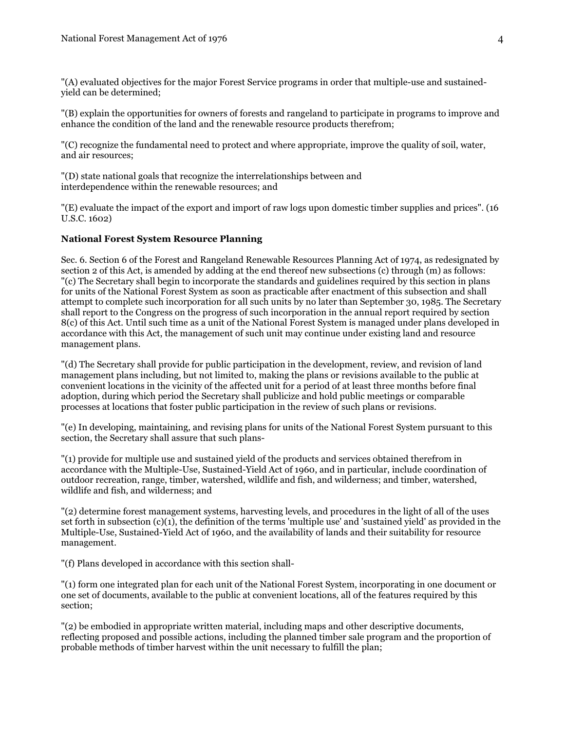"(A) evaluated objectives for the major Forest Service programs in order that multiple-use and sustainedyield can be determined;

"(B) explain the opportunities for owners of forests and rangeland to participate in programs to improve and enhance the condition of the land and the renewable resource products therefrom;

"(C) recognize the fundamental need to protect and where appropriate, improve the quality of soil, water, and air resources;

"(D) state national goals that recognize the interrelationships between and interdependence within the renewable resources; and

"(E) evaluate the impact of the export and import of raw logs upon domestic timber supplies and prices". (16 U.S.C. 1602)

#### **National Forest System Resource Planning**

Sec. 6. Section 6 of the Forest and Rangeland Renewable Resources Planning Act of 1974, as redesignated by section 2 of this Act, is amended by adding at the end thereof new subsections (c) through (m) as follows: "(c) The Secretary shall begin to incorporate the standards and guidelines required by this section in plans for units of the National Forest System as soon as practicable after enactment of this subsection and shall attempt to complete such incorporation for all such units by no later than September 30, 1985. The Secretary shall report to the Congress on the progress of such incorporation in the annual report required by section 8(c) of this Act. Until such time as a unit of the National Forest System is managed under plans developed in accordance with this Act, the management of such unit may continue under existing land and resource management plans.

"(d) The Secretary shall provide for public participation in the development, review, and revision of land management plans including, but not limited to, making the plans or revisions available to the public at convenient locations in the vicinity of the affected unit for a period of at least three months before final adoption, during which period the Secretary shall publicize and hold public meetings or comparable processes at locations that foster public participation in the review of such plans or revisions.

"(e) In developing, maintaining, and revising plans for units of the National Forest System pursuant to this section, the Secretary shall assure that such plans-

"(1) provide for multiple use and sustained yield of the products and services obtained therefrom in accordance with the Multiple-Use, Sustained-Yield Act of 1960, and in particular, include coordination of outdoor recreation, range, timber, watershed, wildlife and fish, and wilderness; and timber, watershed, wildlife and fish, and wilderness; and

"(2) determine forest management systems, harvesting levels, and procedures in the light of all of the uses set forth in subsection  $(c)(1)$ , the definition of the terms 'multiple use' and 'sustained yield' as provided in the Multiple-Use, Sustained-Yield Act of 1960, and the availability of lands and their suitability for resource management.

"(f) Plans developed in accordance with this section shall-

"(1) form one integrated plan for each unit of the National Forest System, incorporating in one document or one set of documents, available to the public at convenient locations, all of the features required by this section;

"(2) be embodied in appropriate written material, including maps and other descriptive documents, reflecting proposed and possible actions, including the planned timber sale program and the proportion of probable methods of timber harvest within the unit necessary to fulfill the plan;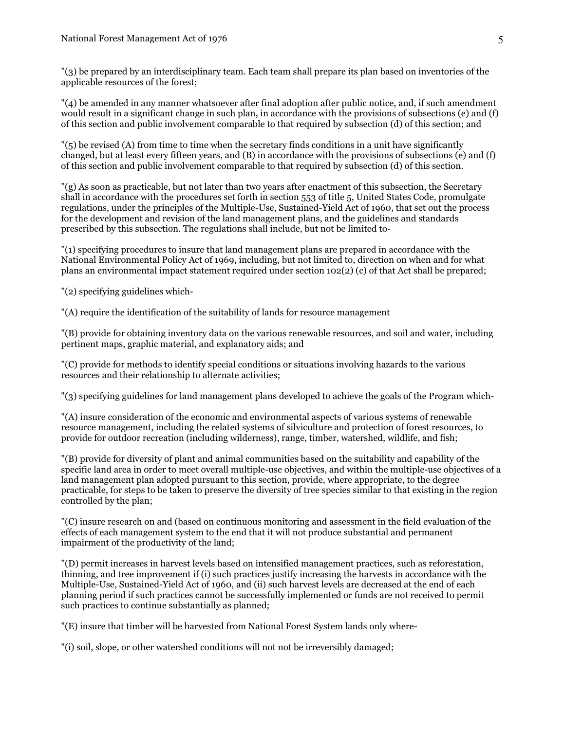"(3) be prepared by an interdisciplinary team. Each team shall prepare its plan based on inventories of the applicable resources of the forest;

"(4) be amended in any manner whatsoever after final adoption after public notice, and, if such amendment would result in a significant change in such plan, in accordance with the provisions of subsections (e) and (f) of this section and public involvement comparable to that required by subsection (d) of this section; and

"(5) be revised (A) from time to time when the secretary finds conditions in a unit have significantly changed, but at least every fifteen years, and (B) in accordance with the provisions of subsections (e) and (f) of this section and public involvement comparable to that required by subsection (d) of this section.

"(g) As soon as practicable, but not later than two years after enactment of this subsection, the Secretary shall in accordance with the procedures set forth in section 553 of title 5, United States Code, promulgate regulations, under the principles of the Multiple-Use, Sustained-Yield Act of 1960, that set out the process for the development and revision of the land management plans, and the guidelines and standards prescribed by this subsection. The regulations shall include, but not be limited to-

"(1) specifying procedures to insure that land management plans are prepared in accordance with the National Environmental Policy Act of 1969, including, but not limited to, direction on when and for what plans an environmental impact statement required under section 102(2) (c) of that Act shall be prepared;

"(2) specifying guidelines which-

"(A) require the identification of the suitability of lands for resource management

"(B) provide for obtaining inventory data on the various renewable resources, and soil and water, including pertinent maps, graphic material, and explanatory aids; and

"(C) provide for methods to identify special conditions or situations involving hazards to the various resources and their relationship to alternate activities;

"(3) specifying guidelines for land management plans developed to achieve the goals of the Program which-

"(A) insure consideration of the economic and environmental aspects of various systems of renewable resource management, including the related systems of silviculture and protection of forest resources, to provide for outdoor recreation (including wilderness), range, timber, watershed, wildlife, and fish;

"(B) provide for diversity of plant and animal communities based on the suitability and capability of the specific land area in order to meet overall multiple-use objectives, and within the multiple-use objectives of a land management plan adopted pursuant to this section, provide, where appropriate, to the degree practicable, for steps to be taken to preserve the diversity of tree species similar to that existing in the region controlled by the plan;

"(C) insure research on and (based on continuous monitoring and assessment in the field evaluation of the effects of each management system to the end that it will not produce substantial and permanent impairment of the productivity of the land;

"(D) permit increases in harvest levels based on intensified management practices, such as reforestation, thinning, and tree improvement if (i) such practices justify increasing the harvests in accordance with the Multiple-Use, Sustained-Yield Act of 1960, and (ii) such harvest levels are decreased at the end of each planning period if such practices cannot be successfully implemented or funds are not received to permit such practices to continue substantially as planned;

"(E) insure that timber will be harvested from National Forest System lands only where-

"(i) soil, slope, or other watershed conditions will not not be irreversibly damaged;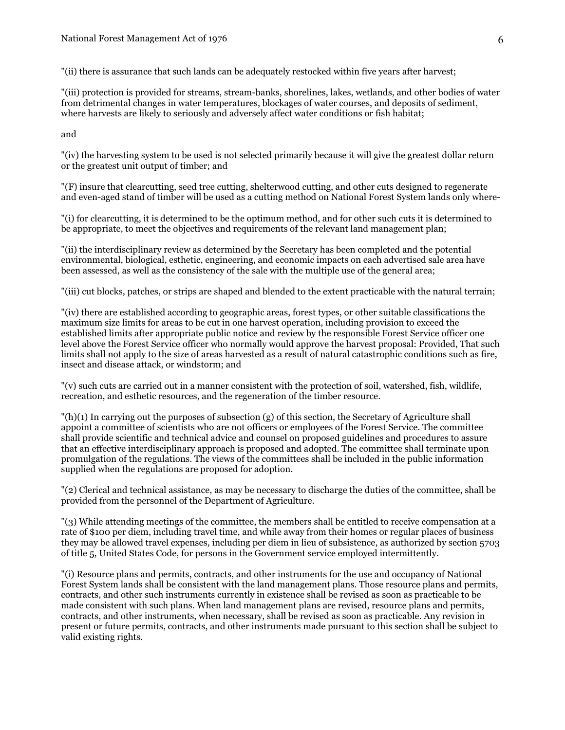"(ii) there is assurance that such lands can be adequately restocked within five years after harvest;

"(iii) protection is provided for streams, stream-banks, shorelines, lakes, wetlands, and other bodies of water from detrimental changes in water temperatures, blockages of water courses, and deposits of sediment, where harvests are likely to seriously and adversely affect water conditions or fish habitat;

and

"(iv) the harvesting system to be used is not selected primarily because it will give the greatest dollar return or the greatest unit output of timber; and

"(F) insure that clearcutting, seed tree cutting, shelterwood cutting, and other cuts designed to regenerate and even-aged stand of timber will be used as a cutting method on National Forest System lands only where-

"(i) for clearcutting, it is determined to be the optimum method, and for other such cuts it is determined to be appropriate, to meet the objectives and requirements of the relevant land management plan;

"(ii) the interdisciplinary review as determined by the Secretary has been completed and the potential environmental, biological, esthetic, engineering, and economic impacts on each advertised sale area have been assessed, as well as the consistency of the sale with the multiple use of the general area;

"(iii) cut blocks, patches, or strips are shaped and blended to the extent practicable with the natural terrain;

"(iv) there are established according to geographic areas, forest types, or other suitable classifications the maximum size limits for areas to be cut in one harvest operation, including provision to exceed the established limits after appropriate public notice and review by the responsible Forest Service officer one level above the Forest Service officer who normally would approve the harvest proposal: Provided, That such limits shall not apply to the size of areas harvested as a result of natural catastrophic conditions such as fire, insect and disease attack, or windstorm; and

"(v) such cuts are carried out in a manner consistent with the protection of soil, watershed, fish, wildlife, recreation, and esthetic resources, and the regeneration of the timber resource.

 $\Gamma(h)(1)$  In carrying out the purposes of subsection (g) of this section, the Secretary of Agriculture shall appoint a committee of scientists who are not officers or employees of the Forest Service. The committee shall provide scientific and technical advice and counsel on proposed guidelines and procedures to assure that an effective interdisciplinary approach is proposed and adopted. The committee shall terminate upon promulgation of the regulations. The views of the committees shall be included in the public information supplied when the regulations are proposed for adoption.

"(2) Clerical and technical assistance, as may be necessary to discharge the duties of the committee, shall be provided from the personnel of the Department of Agriculture.

"(3) While attending meetings of the committee, the members shall be entitled to receive compensation at a rate of \$100 per diem, including travel time, and while away from their homes or regular places of business they may be allowed travel expenses, including per diem in lieu of subsistence, as authorized by section 5703 of title 5, United States Code, for persons in the Government service employed intermittently.

"(i) Resource plans and permits, contracts, and other instruments for the use and occupancy of National Forest System lands shall be consistent with the land management plans. Those resource plans and permits, contracts, and other such instruments currently in existence shall be revised as soon as practicable to be made consistent with such plans. When land management plans are revised, resource plans and permits, contracts, and other instruments, when necessary, shall be revised as soon as practicable. Any revision in present or future permits, contracts, and other instruments made pursuant to this section shall be subject to valid existing rights.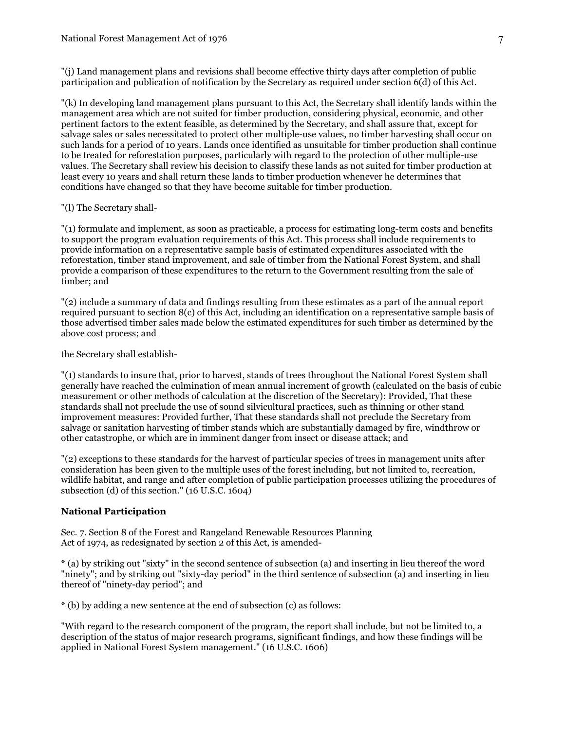"(j) Land management plans and revisions shall become effective thirty days after completion of public participation and publication of notification by the Secretary as required under section 6(d) of this Act.

"(k) In developing land management plans pursuant to this Act, the Secretary shall identify lands within the management area which are not suited for timber production, considering physical, economic, and other pertinent factors to the extent feasible, as determined by the Secretary, and shall assure that, except for salvage sales or sales necessitated to protect other multiple-use values, no timber harvesting shall occur on such lands for a period of 10 years. Lands once identified as unsuitable for timber production shall continue to be treated for reforestation purposes, particularly with regard to the protection of other multiple-use values. The Secretary shall review his decision to classify these lands as not suited for timber production at least every 10 years and shall return these lands to timber production whenever he determines that conditions have changed so that they have become suitable for timber production.

# "(l) The Secretary shall-

"(1) formulate and implement, as soon as practicable, a process for estimating long-term costs and benefits to support the program evaluation requirements of this Act. This process shall include requirements to provide information on a representative sample basis of estimated expenditures associated with the reforestation, timber stand improvement, and sale of timber from the National Forest System, and shall provide a comparison of these expenditures to the return to the Government resulting from the sale of timber; and

"(2) include a summary of data and findings resulting from these estimates as a part of the annual report required pursuant to section 8(c) of this Act, including an identification on a representative sample basis of those advertised timber sales made below the estimated expenditures for such timber as determined by the above cost process; and

the Secretary shall establish-

"(1) standards to insure that, prior to harvest, stands of trees throughout the National Forest System shall generally have reached the culmination of mean annual increment of growth (calculated on the basis of cubic measurement or other methods of calculation at the discretion of the Secretary): Provided, That these standards shall not preclude the use of sound silvicultural practices, such as thinning or other stand improvement measures: Provided further, That these standards shall not preclude the Secretary from salvage or sanitation harvesting of timber stands which are substantially damaged by fire, windthrow or other catastrophe, or which are in imminent danger from insect or disease attack; and

"(2) exceptions to these standards for the harvest of particular species of trees in management units after consideration has been given to the multiple uses of the forest including, but not limited to, recreation, wildlife habitat, and range and after completion of public participation processes utilizing the procedures of subsection (d) of this section." (16 U.S.C. 1604)

# **National Participation**

Sec. 7. Section 8 of the Forest and Rangeland Renewable Resources Planning Act of 1974, as redesignated by section 2 of this Act, is amended-

\* (a) by striking out "sixty" in the second sentence of subsection (a) and inserting in lieu thereof the word "ninety"; and by striking out "sixty-day period" in the third sentence of subsection (a) and inserting in lieu thereof of "ninety-day period"; and

\* (b) by adding a new sentence at the end of subsection (c) as follows:

"With regard to the research component of the program, the report shall include, but not be limited to, a description of the status of major research programs, significant findings, and how these findings will be applied in National Forest System management." (16 U.S.C. 1606)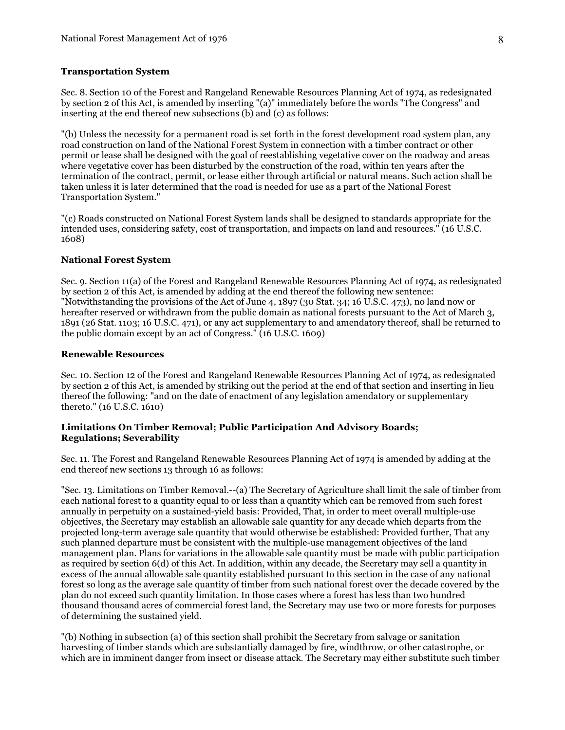## **Transportation System**

Sec. 8. Section 10 of the Forest and Rangeland Renewable Resources Planning Act of 1974, as redesignated by section 2 of this Act, is amended by inserting "(a)" immediately before the words "The Congress" and inserting at the end thereof new subsections (b) and (c) as follows:

"(b) Unless the necessity for a permanent road is set forth in the forest development road system plan, any road construction on land of the National Forest System in connection with a timber contract or other permit or lease shall be designed with the goal of reestablishing vegetative cover on the roadway and areas where vegetative cover has been disturbed by the construction of the road, within ten years after the termination of the contract, permit, or lease either through artificial or natural means. Such action shall be taken unless it is later determined that the road is needed for use as a part of the National Forest Transportation System."

"(c) Roads constructed on National Forest System lands shall be designed to standards appropriate for the intended uses, considering safety, cost of transportation, and impacts on land and resources." (16 U.S.C. 1608)

#### **National Forest System**

Sec. 9. Section 11(a) of the Forest and Rangeland Renewable Resources Planning Act of 1974, as redesignated by section 2 of this Act, is amended by adding at the end thereof the following new sentence: "Notwithstanding the provisions of the Act of June 4, 1897 (30 Stat. 34; 16 U.S.C. 473), no land now or hereafter reserved or withdrawn from the public domain as national forests pursuant to the Act of March 3, 1891 (26 Stat. 1103; 16 U.S.C. 471), or any act supplementary to and amendatory thereof, shall be returned to the public domain except by an act of Congress." (16 U.S.C. 1609)

#### **Renewable Resources**

Sec. 10. Section 12 of the Forest and Rangeland Renewable Resources Planning Act of 1974, as redesignated by section 2 of this Act, is amended by striking out the period at the end of that section and inserting in lieu thereof the following: "and on the date of enactment of any legislation amendatory or supplementary thereto." (16 U.S.C. 1610)

# **Limitations On Timber Removal; Public Participation And Advisory Boards; Regulations; Severability**

Sec. 11. The Forest and Rangeland Renewable Resources Planning Act of 1974 is amended by adding at the end thereof new sections 13 through 16 as follows:

"Sec. 13. Limitations on Timber Removal.--(a) The Secretary of Agriculture shall limit the sale of timber from each national forest to a quantity equal to or less than a quantity which can be removed from such forest annually in perpetuity on a sustained-yield basis: Provided, That, in order to meet overall multiple-use objectives, the Secretary may establish an allowable sale quantity for any decade which departs from the projected long-term average sale quantity that would otherwise be established: Provided further, That any such planned departure must be consistent with the multiple-use management objectives of the land management plan. Plans for variations in the allowable sale quantity must be made with public participation as required by section 6(d) of this Act. In addition, within any decade, the Secretary may sell a quantity in excess of the annual allowable sale quantity established pursuant to this section in the case of any national forest so long as the average sale quantity of timber from such national forest over the decade covered by the plan do not exceed such quantity limitation. In those cases where a forest has less than two hundred thousand thousand acres of commercial forest land, the Secretary may use two or more forests for purposes of determining the sustained yield.

"(b) Nothing in subsection (a) of this section shall prohibit the Secretary from salvage or sanitation harvesting of timber stands which are substantially damaged by fire, windthrow, or other catastrophe, or which are in imminent danger from insect or disease attack. The Secretary may either substitute such timber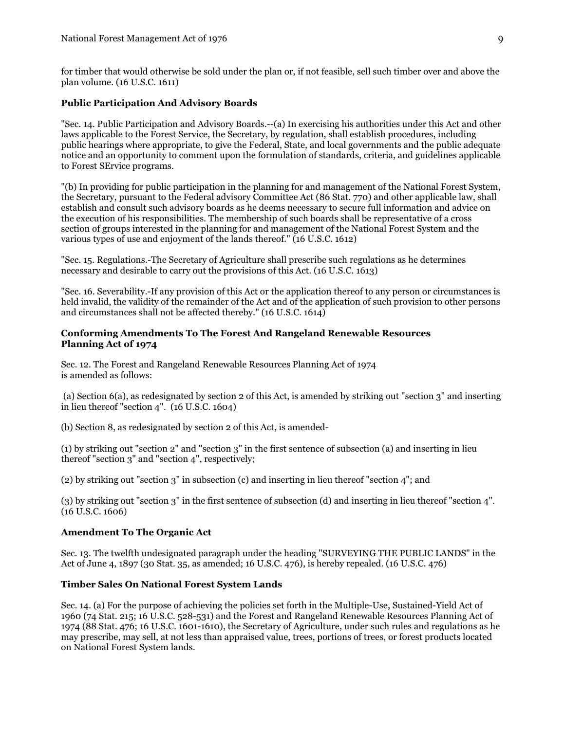for timber that would otherwise be sold under the plan or, if not feasible, sell such timber over and above the plan volume. (16 U.S.C. 1611)

#### **Public Participation And Advisory Boards**

"Sec. 14. Public Participation and Advisory Boards.--(a) In exercising his authorities under this Act and other laws applicable to the Forest Service, the Secretary, by regulation, shall establish procedures, including public hearings where appropriate, to give the Federal, State, and local governments and the public adequate notice and an opportunity to comment upon the formulation of standards, criteria, and guidelines applicable to Forest SErvice programs.

"(b) In providing for public participation in the planning for and management of the National Forest System, the Secretary, pursuant to the Federal advisory Committee Act (86 Stat. 770) and other applicable law, shall establish and consult such advisory boards as he deems necessary to secure full information and advice on the execution of his responsibilities. The membership of such boards shall be representative of a cross section of groups interested in the planning for and management of the National Forest System and the various types of use and enjoyment of the lands thereof." (16 U.S.C. 1612)

"Sec. 15. Regulations.-The Secretary of Agriculture shall prescribe such regulations as he determines necessary and desirable to carry out the provisions of this Act. (16 U.S.C. 1613)

"Sec. 16. Severability.-If any provision of this Act or the application thereof to any person or circumstances is held invalid, the validity of the remainder of the Act and of the application of such provision to other persons and circumstances shall not be affected thereby." (16 U.S.C. 1614)

## **Conforming Amendments To The Forest And Rangeland Renewable Resources Planning Act of 1974**

Sec. 12. The Forest and Rangeland Renewable Resources Planning Act of 1974 is amended as follows:

(a) Section 6(a), as redesignated by section 2 of this Act, is amended by striking out "section 3" and inserting in lieu thereof "section 4". (16 U.S.C. 1604)

(b) Section 8, as redesignated by section 2 of this Act, is amended-

(1) by striking out "section 2" and "section 3" in the first sentence of subsection (a) and inserting in lieu thereof "section 3" and "section 4", respectively;

(2) by striking out "section 3" in subsection (c) and inserting in lieu thereof "section 4"; and

(3) by striking out "section 3" in the first sentence of subsection (d) and inserting in lieu thereof "section 4". (16 U.S.C. 1606)

# **Amendment To The Organic Act**

Sec. 13. The twelfth undesignated paragraph under the heading "SURVEYING THE PUBLIC LANDS" in the Act of June 4, 1897 (30 Stat. 35, as amended; 16 U.S.C. 476), is hereby repealed. (16 U.S.C. 476)

#### **Timber Sales On National Forest System Lands**

Sec. 14. (a) For the purpose of achieving the policies set forth in the Multiple-Use, Sustained-Yield Act of 1960 (74 Stat. 215; 16 U.S.C. 528-531) and the Forest and Rangeland Renewable Resources Planning Act of 1974 (88 Stat. 476; 16 U.S.C. 1601-1610), the Secretary of Agriculture, under such rules and regulations as he may prescribe, may sell, at not less than appraised value, trees, portions of trees, or forest products located on National Forest System lands.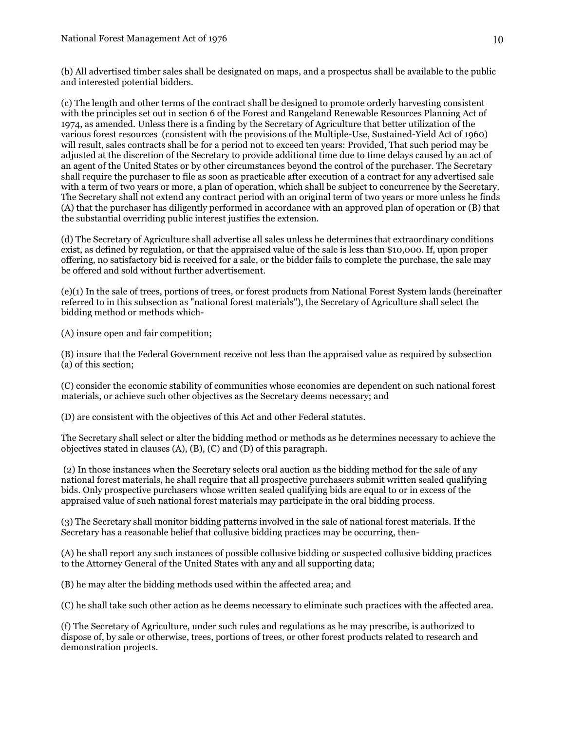(b) All advertised timber sales shall be designated on maps, and a prospectus shall be available to the public and interested potential bidders.

(c) The length and other terms of the contract shall be designed to promote orderly harvesting consistent with the principles set out in section 6 of the Forest and Rangeland Renewable Resources Planning Act of 1974, as amended. Unless there is a finding by the Secretary of Agriculture that better utilization of the various forest resources (consistent with the provisions of the Multiple-Use, Sustained-Yield Act of 1960) will result, sales contracts shall be for a period not to exceed ten years: Provided, That such period may be adjusted at the discretion of the Secretary to provide additional time due to time delays caused by an act of an agent of the United States or by other circumstances beyond the control of the purchaser. The Secretary shall require the purchaser to file as soon as practicable after execution of a contract for any advertised sale with a term of two years or more, a plan of operation, which shall be subject to concurrence by the Secretary. The Secretary shall not extend any contract period with an original term of two years or more unless he finds (A) that the purchaser has diligently performed in accordance with an approved plan of operation or (B) that the substantial overriding public interest justifies the extension.

(d) The Secretary of Agriculture shall advertise all sales unless he determines that extraordinary conditions exist, as defined by regulation, or that the appraised value of the sale is less than \$10,000. If, upon proper offering, no satisfactory bid is received for a sale, or the bidder fails to complete the purchase, the sale may be offered and sold without further advertisement.

(e)(1) In the sale of trees, portions of trees, or forest products from National Forest System lands (hereinafter referred to in this subsection as "national forest materials"), the Secretary of Agriculture shall select the bidding method or methods which-

(A) insure open and fair competition;

(B) insure that the Federal Government receive not less than the appraised value as required by subsection (a) of this section;

(C) consider the economic stability of communities whose economies are dependent on such national forest materials, or achieve such other objectives as the Secretary deems necessary; and

(D) are consistent with the objectives of this Act and other Federal statutes.

The Secretary shall select or alter the bidding method or methods as he determines necessary to achieve the objectives stated in clauses (A), (B), (C) and (D) of this paragraph.

(2) In those instances when the Secretary selects oral auction as the bidding method for the sale of any national forest materials, he shall require that all prospective purchasers submit written sealed qualifying bids. Only prospective purchasers whose written sealed qualifying bids are equal to or in excess of the appraised value of such national forest materials may participate in the oral bidding process.

(3) The Secretary shall monitor bidding patterns involved in the sale of national forest materials. If the Secretary has a reasonable belief that collusive bidding practices may be occurring, then-

(A) he shall report any such instances of possible collusive bidding or suspected collusive bidding practices to the Attorney General of the United States with any and all supporting data;

(B) he may alter the bidding methods used within the affected area; and

(C) he shall take such other action as he deems necessary to eliminate such practices with the affected area.

(f) The Secretary of Agriculture, under such rules and regulations as he may prescribe, is authorized to dispose of, by sale or otherwise, trees, portions of trees, or other forest products related to research and demonstration projects.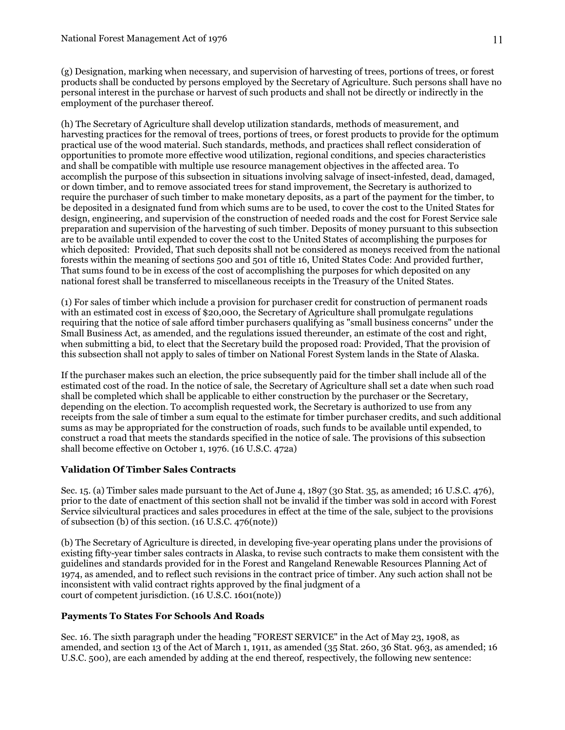(g) Designation, marking when necessary, and supervision of harvesting of trees, portions of trees, or forest products shall be conducted by persons employed by the Secretary of Agriculture. Such persons shall have no personal interest in the purchase or harvest of such products and shall not be directly or indirectly in the employment of the purchaser thereof.

(h) The Secretary of Agriculture shall develop utilization standards, methods of measurement, and harvesting practices for the removal of trees, portions of trees, or forest products to provide for the optimum practical use of the wood material. Such standards, methods, and practices shall reflect consideration of opportunities to promote more effective wood utilization, regional conditions, and species characteristics and shall be compatible with multiple use resource management objectives in the affected area. To accomplish the purpose of this subsection in situations involving salvage of insect-infested, dead, damaged, or down timber, and to remove associated trees for stand improvement, the Secretary is authorized to require the purchaser of such timber to make monetary deposits, as a part of the payment for the timber, to be deposited in a designated fund from which sums are to be used, to cover the cost to the United States for design, engineering, and supervision of the construction of needed roads and the cost for Forest Service sale preparation and supervision of the harvesting of such timber. Deposits of money pursuant to this subsection are to be available until expended to cover the cost to the United States of accomplishing the purposes for which deposited: Provided, That such deposits shall not be considered as moneys received from the national forests within the meaning of sections 500 and 501 of title 16, United States Code: And provided further, That sums found to be in excess of the cost of accomplishing the purposes for which deposited on any national forest shall be transferred to miscellaneous receipts in the Treasury of the United States.

(1) For sales of timber which include a provision for purchaser credit for construction of permanent roads with an estimated cost in excess of \$20,000, the Secretary of Agriculture shall promulgate regulations requiring that the notice of sale afford timber purchasers qualifying as "small business concerns" under the Small Business Act, as amended, and the regulations issued thereunder, an estimate of the cost and right, when submitting a bid, to elect that the Secretary build the proposed road: Provided, That the provision of this subsection shall not apply to sales of timber on National Forest System lands in the State of Alaska.

If the purchaser makes such an election, the price subsequently paid for the timber shall include all of the estimated cost of the road. In the notice of sale, the Secretary of Agriculture shall set a date when such road shall be completed which shall be applicable to either construction by the purchaser or the Secretary, depending on the election. To accomplish requested work, the Secretary is authorized to use from any receipts from the sale of timber a sum equal to the estimate for timber purchaser credits, and such additional sums as may be appropriated for the construction of roads, such funds to be available until expended, to construct a road that meets the standards specified in the notice of sale. The provisions of this subsection shall become effective on October 1, 1976. (16 U.S.C. 472a)

# **Validation Of Timber Sales Contracts**

Sec. 15. (a) Timber sales made pursuant to the Act of June 4, 1897 (30 Stat. 35, as amended; 16 U.S.C. 476), prior to the date of enactment of this section shall not be invalid if the timber was sold in accord with Forest Service silvicultural practices and sales procedures in effect at the time of the sale, subject to the provisions of subsection (b) of this section. (16 U.S.C. 476(note))

(b) The Secretary of Agriculture is directed, in developing five-year operating plans under the provisions of existing fifty-year timber sales contracts in Alaska, to revise such contracts to make them consistent with the guidelines and standards provided for in the Forest and Rangeland Renewable Resources Planning Act of 1974, as amended, and to reflect such revisions in the contract price of timber. Any such action shall not be inconsistent with valid contract rights approved by the final judgment of a court of competent jurisdiction. (16 U.S.C. 1601(note))

# **Payments To States For Schools And Roads**

Sec. 16. The sixth paragraph under the heading "FOREST SERVICE" in the Act of May 23, 1908, as amended, and section 13 of the Act of March 1, 1911, as amended (35 Stat. 260, 36 Stat. 963, as amended; 16 U.S.C. 500), are each amended by adding at the end thereof, respectively, the following new sentence: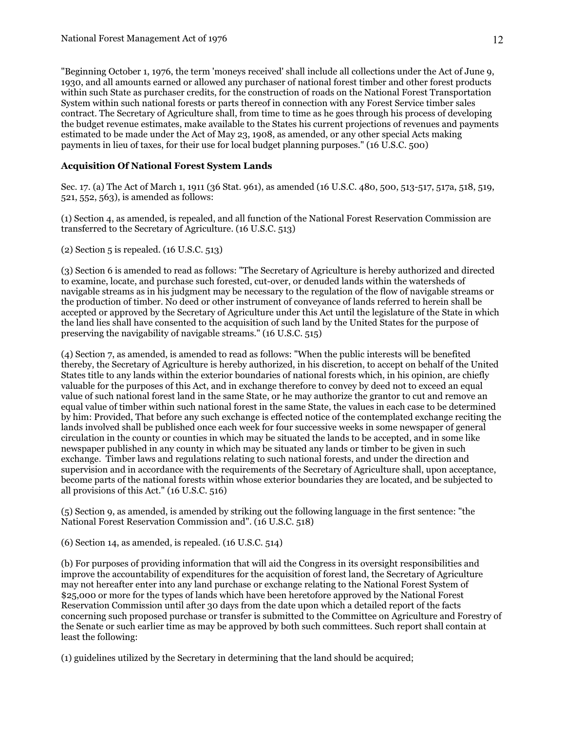"Beginning October 1, 1976, the term 'moneys received' shall include all collections under the Act of June 9, 1930, and all amounts earned or allowed any purchaser of national forest timber and other forest products within such State as purchaser credits, for the construction of roads on the National Forest Transportation System within such national forests or parts thereof in connection with any Forest Service timber sales contract. The Secretary of Agriculture shall, from time to time as he goes through his process of developing the budget revenue estimates, make available to the States his current projections of revenues and payments estimated to be made under the Act of May 23, 1908, as amended, or any other special Acts making payments in lieu of taxes, for their use for local budget planning purposes." (16 U.S.C. 500)

# **Acquisition Of National Forest System Lands**

Sec. 17. (a) The Act of March 1, 1911 (36 Stat. 961), as amended (16 U.S.C. 480, 500, 513-517, 517a, 518, 519, 521, 552, 563), is amended as follows:

(1) Section 4, as amended, is repealed, and all function of the National Forest Reservation Commission are transferred to the Secretary of Agriculture. (16 U.S.C. 513)

(2) Section 5 is repealed. (16 U.S.C. 513)

(3) Section 6 is amended to read as follows: "The Secretary of Agriculture is hereby authorized and directed to examine, locate, and purchase such forested, cut-over, or denuded lands within the watersheds of navigable streams as in his judgment may be necessary to the regulation of the flow of navigable streams or the production of timber. No deed or other instrument of conveyance of lands referred to herein shall be accepted or approved by the Secretary of Agriculture under this Act until the legislature of the State in which the land lies shall have consented to the acquisition of such land by the United States for the purpose of preserving the navigability of navigable streams." (16 U.S.C. 515)

(4) Section 7, as amended, is amended to read as follows: "When the public interests will be benefited thereby, the Secretary of Agriculture is hereby authorized, in his discretion, to accept on behalf of the United States title to any lands within the exterior boundaries of national forests which, in his opinion, are chiefly valuable for the purposes of this Act, and in exchange therefore to convey by deed not to exceed an equal value of such national forest land in the same State, or he may authorize the grantor to cut and remove an equal value of timber within such national forest in the same State, the values in each case to be determined by him: Provided, That before any such exchange is effected notice of the contemplated exchange reciting the lands involved shall be published once each week for four successive weeks in some newspaper of general circulation in the county or counties in which may be situated the lands to be accepted, and in some like newspaper published in any county in which may be situated any lands or timber to be given in such exchange. Timber laws and regulations relating to such national forests, and under the direction and supervision and in accordance with the requirements of the Secretary of Agriculture shall, upon acceptance, become parts of the national forests within whose exterior boundaries they are located, and be subjected to all provisions of this Act." (16 U.S.C. 516)

(5) Section 9, as amended, is amended by striking out the following language in the first sentence: "the National Forest Reservation Commission and". (16 U.S.C. 518)

(6) Section 14, as amended, is repealed. (16 U.S.C. 514)

(b) For purposes of providing information that will aid the Congress in its oversight responsibilities and improve the accountability of expenditures for the acquisition of forest land, the Secretary of Agriculture may not hereafter enter into any land purchase or exchange relating to the National Forest System of \$25,000 or more for the types of lands which have been heretofore approved by the National Forest Reservation Commission until after 30 days from the date upon which a detailed report of the facts concerning such proposed purchase or transfer is submitted to the Committee on Agriculture and Forestry of the Senate or such earlier time as may be approved by both such committees. Such report shall contain at least the following:

(1) guidelines utilized by the Secretary in determining that the land should be acquired;